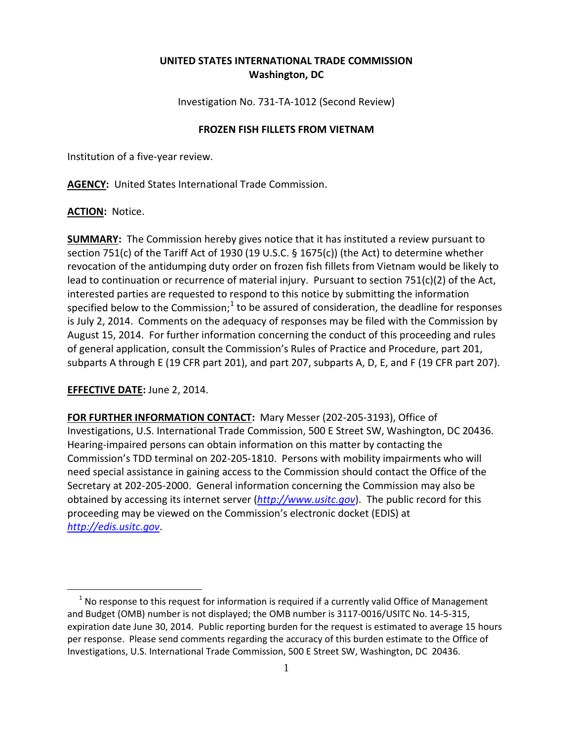# **UNITED STATES INTERNATIONAL TRADE COMMISSION Washington, DC**

Investigation No. 731-TA-1012 (Second Review)

### **FROZEN FISH FILLETS FROM VIETNAM**

Institution of a five-year review.

**AGENCY:** United States International Trade Commission.

### **ACTION:** Notice.

**SUMMARY:** The Commission hereby gives notice that it has instituted a review pursuant to section 751(c) of the Tariff Act of 1930 (19 U.S.C. § 1675(c)) (the Act) to determine whether revocation of the antidumping duty order on frozen fish fillets from Vietnam would be likely to lead to continuation or recurrence of material injury. Pursuant to section 751(c)(2) of the Act, interested parties are requested to respond to this notice by submitting the information specified below to the Commission;<sup>[1](#page-0-0)</sup> to be assured of consideration, the deadline for responses is July 2, 2014. Comments on the adequacy of responses may be filed with the Commission by August 15, 2014. For further information concerning the conduct of this proceeding and rules of general application, consult the Commission's Rules of Practice and Procedure, part 201, subparts A through E (19 CFR part 201), and part 207, subparts A, D, E, and F (19 CFR part 207).

## **EFFECTIVE DATE:** June 2, 2014.

 $\overline{a}$ 

**FOR FURTHER INFORMATION CONTACT:** Mary Messer (202-205-3193), Office of Investigations, U.S. International Trade Commission, 500 E Street SW, Washington, DC 20436. Hearing-impaired persons can obtain information on this matter by contacting the Commission's TDD terminal on 202-205-1810. Persons with mobility impairments who will need special assistance in gaining access to the Commission should contact the Office of the Secretary at 202-205-2000. General information concerning the Commission may also be obtained by accessing its internet server (*[http://www.usitc.gov](http://www.usitc.gov/)*). The public record for this proceeding may be viewed on the Commission's electronic docket (EDIS) at *[http://edis.usitc.gov](http://edis.usitc.gov/)*.

<span id="page-0-0"></span> $1$  No response to this request for information is required if a currently valid Office of Management and Budget (OMB) number is not displayed; the OMB number is 3117-0016/USITC No. 14-5-315, expiration date June 30, 2014. Public reporting burden for the request is estimated to average 15 hours per response. Please send comments regarding the accuracy of this burden estimate to the Office of Investigations, U.S. International Trade Commission, 500 E Street SW, Washington, DC 20436.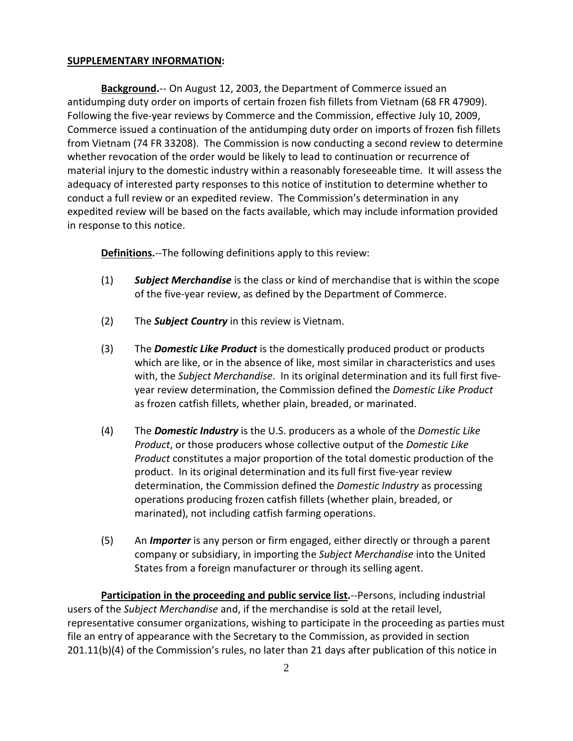### **SUPPLEMENTARY INFORMATION:**

**Background.**-- On August 12, 2003, the Department of Commerce issued an antidumping duty order on imports of certain frozen fish fillets from Vietnam (68 FR 47909). Following the five-year reviews by Commerce and the Commission, effective July 10, 2009, Commerce issued a continuation of the antidumping duty order on imports of frozen fish fillets from Vietnam (74 FR 33208). The Commission is now conducting a second review to determine whether revocation of the order would be likely to lead to continuation or recurrence of material injury to the domestic industry within a reasonably foreseeable time. It will assess the adequacy of interested party responses to this notice of institution to determine whether to conduct a full review or an expedited review. The Commission's determination in any expedited review will be based on the facts available, which may include information provided in response to this notice.

**Definitions.**--The following definitions apply to this review:

- (1) *Subject Merchandise* is the class or kind of merchandise that is within the scope of the five-year review, as defined by the Department of Commerce.
- (2) The *Subject Country* in this review is Vietnam.
- (3) The *Domestic Like Product* is the domestically produced product or products which are like, or in the absence of like, most similar in characteristics and uses with, the *Subject Merchandise*. In its original determination and its full first fiveyear review determination, the Commission defined the *Domestic Like Product* as frozen catfish fillets, whether plain, breaded, or marinated.
- (4) The *Domestic Industry* is the U.S. producers as a whole of the *Domestic Like Product*, or those producers whose collective output of the *Domestic Like Product* constitutes a major proportion of the total domestic production of the product. In its original determination and its full first five-year review determination, the Commission defined the *Domestic Industry* as processing operations producing frozen catfish fillets (whether plain, breaded, or marinated), not including catfish farming operations.
- (5) An *Importer* is any person or firm engaged, either directly or through a parent company or subsidiary, in importing the *Subject Merchandise* into the United States from a foreign manufacturer or through its selling agent.

**Participation in the proceeding and public service list.**--Persons, including industrial users of the *Subject Merchandise* and, if the merchandise is sold at the retail level, representative consumer organizations, wishing to participate in the proceeding as parties must file an entry of appearance with the Secretary to the Commission, as provided in section 201.11(b)(4) of the Commission's rules, no later than 21 days after publication of this notice in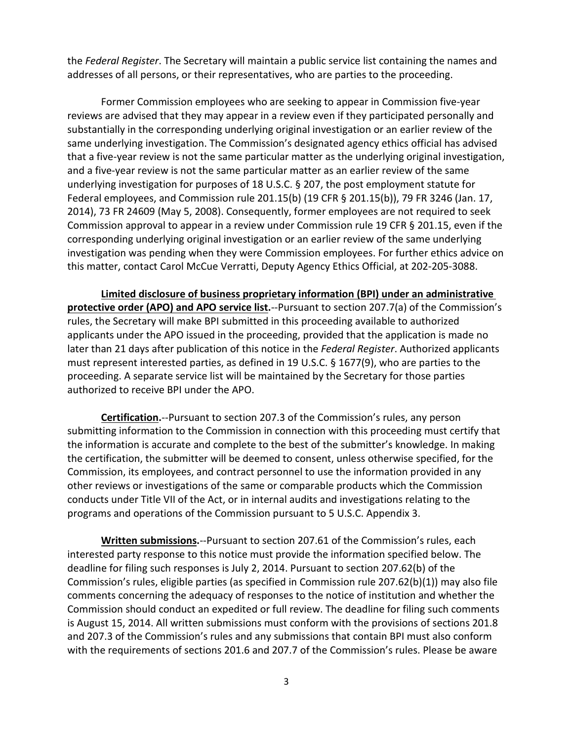the *Federal Register*. The Secretary will maintain a public service list containing the names and addresses of all persons, or their representatives, who are parties to the proceeding.

Former Commission employees who are seeking to appear in Commission five-year reviews are advised that they may appear in a review even if they participated personally and substantially in the corresponding underlying original investigation or an earlier review of the same underlying investigation. The Commission's designated agency ethics official has advised that a five-year review is not the same particular matter as the underlying original investigation, and a five-year review is not the same particular matter as an earlier review of the same underlying investigation for purposes of 18 U.S.C. § 207, the post employment statute for Federal employees, and Commission rule 201.15(b) (19 CFR § 201.15(b)), 79 FR 3246 (Jan. 17, 2014), 73 FR 24609 (May 5, 2008). Consequently, former employees are not required to seek Commission approval to appear in a review under Commission rule 19 CFR § 201.15, even if the corresponding underlying original investigation or an earlier review of the same underlying investigation was pending when they were Commission employees. For further ethics advice on this matter, contact Carol McCue Verratti, Deputy Agency Ethics Official, at 202-205-3088.

**Limited disclosure of business proprietary information (BPI) under an administrative protective order (APO) and APO service list.**--Pursuant to section 207.7(a) of the Commission's rules, the Secretary will make BPI submitted in this proceeding available to authorized applicants under the APO issued in the proceeding, provided that the application is made no later than 21 days after publication of this notice in the *Federal Register*. Authorized applicants must represent interested parties, as defined in 19 U.S.C. § 1677(9), who are parties to the proceeding. A separate service list will be maintained by the Secretary for those parties authorized to receive BPI under the APO.

**Certification.**--Pursuant to section 207.3 of the Commission's rules, any person submitting information to the Commission in connection with this proceeding must certify that the information is accurate and complete to the best of the submitter's knowledge. In making the certification, the submitter will be deemed to consent, unless otherwise specified, for the Commission, its employees, and contract personnel to use the information provided in any other reviews or investigations of the same or comparable products which the Commission conducts under Title VII of the Act, or in internal audits and investigations relating to the programs and operations of the Commission pursuant to 5 U.S.C. Appendix 3.

**Written submissions.**--Pursuant to section 207.61 of the Commission's rules, each interested party response to this notice must provide the information specified below. The deadline for filing such responses is July 2, 2014. Pursuant to section 207.62(b) of the Commission's rules, eligible parties (as specified in Commission rule 207.62(b)(1)) may also file comments concerning the adequacy of responses to the notice of institution and whether the Commission should conduct an expedited or full review. The deadline for filing such comments is August 15, 2014. All written submissions must conform with the provisions of sections 201.8 and 207.3 of the Commission's rules and any submissions that contain BPI must also conform with the requirements of sections 201.6 and 207.7 of the Commission's rules. Please be aware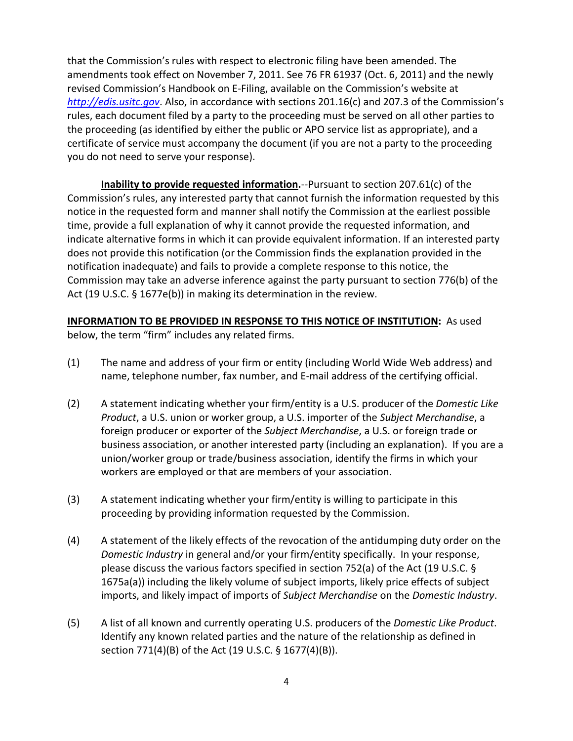that the Commission's rules with respect to electronic filing have been amended. The amendments took effect on November 7, 2011. See 76 FR 61937 (Oct. 6, 2011) and the newly revised Commission's Handbook on E-Filing, available on the Commission's website at *[http://edis.usitc.gov](http://edis.usitc.gov/)*. Also, in accordance with sections 201.16(c) and 207.3 of the Commission's rules, each document filed by a party to the proceeding must be served on all other parties to the proceeding (as identified by either the public or APO service list as appropriate), and a certificate of service must accompany the document (if you are not a party to the proceeding you do not need to serve your response).

**Inability to provide requested information.**--Pursuant to section 207.61(c) of the Commission's rules, any interested party that cannot furnish the information requested by this notice in the requested form and manner shall notify the Commission at the earliest possible time, provide a full explanation of why it cannot provide the requested information, and indicate alternative forms in which it can provide equivalent information. If an interested party does not provide this notification (or the Commission finds the explanation provided in the notification inadequate) and fails to provide a complete response to this notice, the Commission may take an adverse inference against the party pursuant to section 776(b) of the Act (19 U.S.C. § 1677e(b)) in making its determination in the review.

## **INFORMATION TO BE PROVIDED IN RESPONSE TO THIS NOTICE OF INSTITUTION:** As used

below, the term "firm" includes any related firms.

- (1) The name and address of your firm or entity (including World Wide Web address) and name, telephone number, fax number, and E-mail address of the certifying official.
- (2) A statement indicating whether your firm/entity is a U.S. producer of the *Domestic Like Product*, a U.S. union or worker group, a U.S. importer of the *Subject Merchandise*, a foreign producer or exporter of the *Subject Merchandise*, a U.S. or foreign trade or business association, or another interested party (including an explanation). If you are a union/worker group or trade/business association, identify the firms in which your workers are employed or that are members of your association.
- (3) A statement indicating whether your firm/entity is willing to participate in this proceeding by providing information requested by the Commission.
- (4) A statement of the likely effects of the revocation of the antidumping duty order on the *Domestic Industry* in general and/or your firm/entity specifically. In your response, please discuss the various factors specified in section 752(a) of the Act (19 U.S.C. § 1675a(a)) including the likely volume of subject imports, likely price effects of subject imports, and likely impact of imports of *Subject Merchandise* on the *Domestic Industry*.
- (5) A list of all known and currently operating U.S. producers of the *Domestic Like Product*. Identify any known related parties and the nature of the relationship as defined in section 771(4)(B) of the Act (19 U.S.C. § 1677(4)(B)).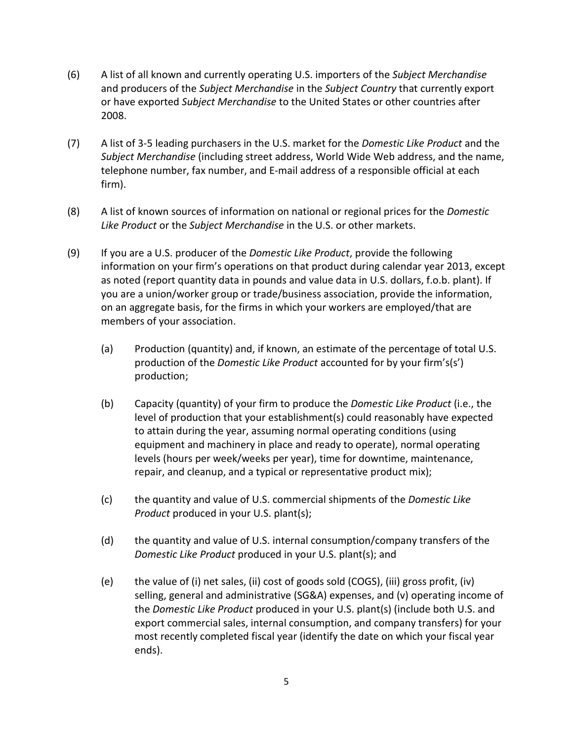- (6) A list of all known and currently operating U.S. importers of the *Subject Merchandise* and producers of the *Subject Merchandise* in the *Subject Country* that currently export or have exported *Subject Merchandise* to the United States or other countries after 2008.
- (7) A list of 3-5 leading purchasers in the U.S. market for the *Domestic Like Product* and the *Subject Merchandise* (including street address, World Wide Web address, and the name, telephone number, fax number, and E-mail address of a responsible official at each firm).
- (8) A list of known sources of information on national or regional prices for the *Domestic Like Product* or the *Subject Merchandise* in the U.S. or other markets.
- (9) If you are a U.S. producer of the *Domestic Like Product*, provide the following information on your firm's operations on that product during calendar year 2013, except as noted (report quantity data in pounds and value data in U.S. dollars, f.o.b. plant). If you are a union/worker group or trade/business association, provide the information, on an aggregate basis, for the firms in which your workers are employed/that are members of your association.
	- (a) Production (quantity) and, if known, an estimate of the percentage of total U.S. production of the *Domestic Like Product* accounted for by your firm's(s') production;
	- (b) Capacity (quantity) of your firm to produce the *Domestic Like Product* (i.e., the level of production that your establishment(s) could reasonably have expected to attain during the year, assuming normal operating conditions (using equipment and machinery in place and ready to operate), normal operating levels (hours per week/weeks per year), time for downtime, maintenance, repair, and cleanup, and a typical or representative product mix);
	- (c) the quantity and value of U.S. commercial shipments of the *Domestic Like Product* produced in your U.S. plant(s);
	- (d) the quantity and value of U.S. internal consumption/company transfers of the *Domestic Like Product* produced in your U.S. plant(s); and
	- (e) the value of (i) net sales, (ii) cost of goods sold (COGS), (iii) gross profit, (iv) selling, general and administrative (SG&A) expenses, and (v) operating income of the *Domestic Like Product* produced in your U.S. plant(s) (include both U.S. and export commercial sales, internal consumption, and company transfers) for your most recently completed fiscal year (identify the date on which your fiscal year ends).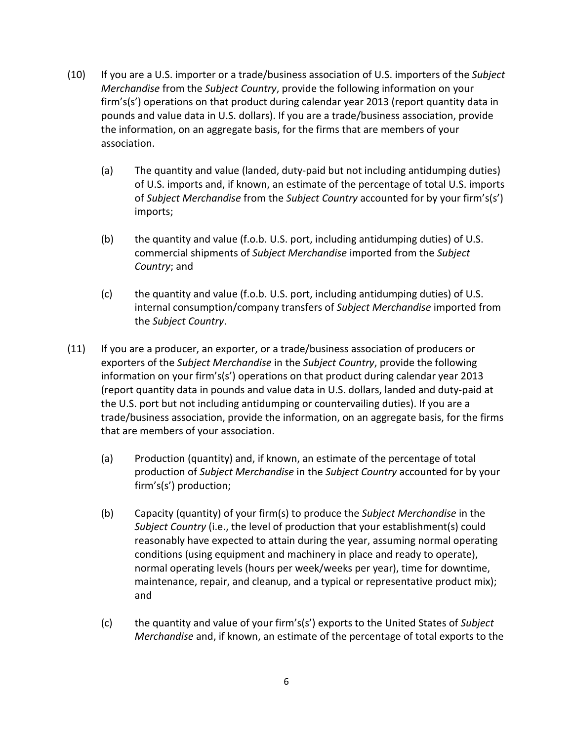- (10) If you are a U.S. importer or a trade/business association of U.S. importers of the *Subject Merchandise* from the *Subject Country*, provide the following information on your firm's(s') operations on that product during calendar year 2013 (report quantity data in pounds and value data in U.S. dollars). If you are a trade/business association, provide the information, on an aggregate basis, for the firms that are members of your association.
	- (a) The quantity and value (landed, duty-paid but not including antidumping duties) of U.S. imports and, if known, an estimate of the percentage of total U.S. imports of *Subject Merchandise* from the *Subject Country* accounted for by your firm's(s') imports;
	- (b) the quantity and value (f.o.b. U.S. port, including antidumping duties) of U.S. commercial shipments of *Subject Merchandise* imported from the *Subject Country*; and
	- (c) the quantity and value (f.o.b. U.S. port, including antidumping duties) of U.S. internal consumption/company transfers of *Subject Merchandise* imported from the *Subject Country*.
- (11) If you are a producer, an exporter, or a trade/business association of producers or exporters of the *Subject Merchandise* in the *Subject Country*, provide the following information on your firm's(s') operations on that product during calendar year 2013 (report quantity data in pounds and value data in U.S. dollars, landed and duty-paid at the U.S. port but not including antidumping or countervailing duties). If you are a trade/business association, provide the information, on an aggregate basis, for the firms that are members of your association.
	- (a) Production (quantity) and, if known, an estimate of the percentage of total production of *Subject Merchandise* in the *Subject Country* accounted for by your firm's(s') production;
	- (b) Capacity (quantity) of your firm(s) to produce the *Subject Merchandise* in the *Subject Country* (i.e., the level of production that your establishment(s) could reasonably have expected to attain during the year, assuming normal operating conditions (using equipment and machinery in place and ready to operate), normal operating levels (hours per week/weeks per year), time for downtime, maintenance, repair, and cleanup, and a typical or representative product mix); and
	- (c) the quantity and value of your firm's(s') exports to the United States of *Subject Merchandise* and, if known, an estimate of the percentage of total exports to the